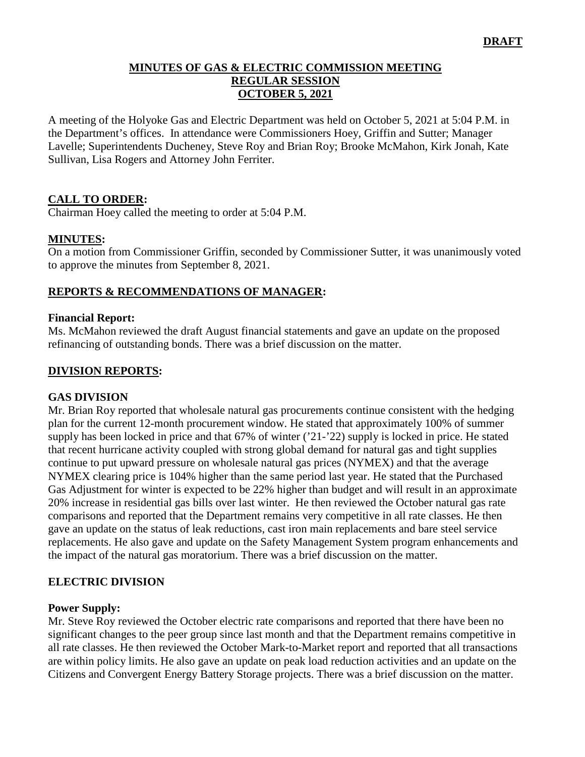#### **MINUTES OF GAS & ELECTRIC COMMISSION MEETING REGULAR SESSION OCTOBER 5, 2021**

A meeting of the Holyoke Gas and Electric Department was held on October 5, 2021 at 5:04 P.M. in the Department's offices. In attendance were Commissioners Hoey, Griffin and Sutter; Manager Lavelle; Superintendents Ducheney, Steve Roy and Brian Roy; Brooke McMahon, Kirk Jonah, Kate Sullivan, Lisa Rogers and Attorney John Ferriter.

## **CALL TO ORDER:**

Chairman Hoey called the meeting to order at 5:04 P.M.

#### **MINUTES:**

On a motion from Commissioner Griffin, seconded by Commissioner Sutter, it was unanimously voted to approve the minutes from September 8, 2021.

### **REPORTS & RECOMMENDATIONS OF MANAGER:**

#### **Financial Report:**

Ms. McMahon reviewed the draft August financial statements and gave an update on the proposed refinancing of outstanding bonds. There was a brief discussion on the matter.

### **DIVISION REPORTS:**

#### **GAS DIVISION**

Mr. Brian Roy reported that wholesale natural gas procurements continue consistent with the hedging plan for the current 12-month procurement window. He stated that approximately 100% of summer supply has been locked in price and that 67% of winter ('21-'22) supply is locked in price. He stated that recent hurricane activity coupled with strong global demand for natural gas and tight supplies continue to put upward pressure on wholesale natural gas prices (NYMEX) and that the average NYMEX clearing price is 104% higher than the same period last year. He stated that the Purchased Gas Adjustment for winter is expected to be 22% higher than budget and will result in an approximate 20% increase in residential gas bills over last winter. He then reviewed the October natural gas rate comparisons and reported that the Department remains very competitive in all rate classes. He then gave an update on the status of leak reductions, cast iron main replacements and bare steel service replacements. He also gave and update on the Safety Management System program enhancements and the impact of the natural gas moratorium. There was a brief discussion on the matter.

### **ELECTRIC DIVISION**

#### **Power Supply:**

Mr. Steve Roy reviewed the October electric rate comparisons and reported that there have been no significant changes to the peer group since last month and that the Department remains competitive in all rate classes. He then reviewed the October Mark-to-Market report and reported that all transactions are within policy limits. He also gave an update on peak load reduction activities and an update on the Citizens and Convergent Energy Battery Storage projects. There was a brief discussion on the matter.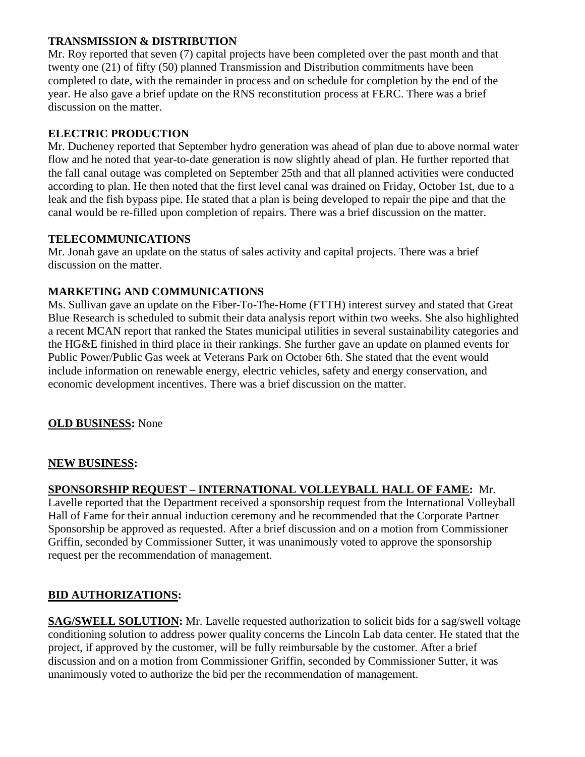## **TRANSMISSION & DISTRIBUTION**

Mr. Roy reported that seven (7) capital projects have been completed over the past month and that twenty one (21) of fifty (50) planned Transmission and Distribution commitments have been completed to date, with the remainder in process and on schedule for completion by the end of the year. He also gave a brief update on the RNS reconstitution process at FERC. There was a brief discussion on the matter.

# **ELECTRIC PRODUCTION**

Mr. Ducheney reported that September hydro generation was ahead of plan due to above normal water flow and he noted that year-to-date generation is now slightly ahead of plan. He further reported that the fall canal outage was completed on September 25th and that all planned activities were conducted according to plan. He then noted that the first level canal was drained on Friday, October 1st, due to a leak and the fish bypass pipe. He stated that a plan is being developed to repair the pipe and that the canal would be re-filled upon completion of repairs. There was a brief discussion on the matter.

## **TELECOMMUNICATIONS**

Mr. Jonah gave an update on the status of sales activity and capital projects. There was a brief discussion on the matter.

# **MARKETING AND COMMUNICATIONS**

Ms. Sullivan gave an update on the Fiber-To-The-Home (FTTH) interest survey and stated that Great Blue Research is scheduled to submit their data analysis report within two weeks. She also highlighted a recent MCAN report that ranked the States municipal utilities in several sustainability categories and the HG&E finished in third place in their rankings. She further gave an update on planned events for Public Power/Public Gas week at Veterans Park on October 6th. She stated that the event would include information on renewable energy, electric vehicles, safety and energy conservation, and economic development incentives. There was a brief discussion on the matter.

# **OLD BUSINESS:** None

### **NEW BUSINESS:**

# **SPONSORSHIP REQUEST – INTERNATIONAL VOLLEYBALL HALL OF FAME:** Mr.

Lavelle reported that the Department received a sponsorship request from the International Volleyball Hall of Fame for their annual induction ceremony and he recommended that the Corporate Partner Sponsorship be approved as requested. After a brief discussion and on a motion from Commissioner Griffin, seconded by Commissioner Sutter, it was unanimously voted to approve the sponsorship request per the recommendation of management.

### **BID AUTHORIZATIONS:**

**SAG/SWELL SOLUTION:** Mr. Lavelle requested authorization to solicit bids for a sag/swell voltage conditioning solution to address power quality concerns the Lincoln Lab data center. He stated that the project, if approved by the customer, will be fully reimbursable by the customer. After a brief discussion and on a motion from Commissioner Griffin, seconded by Commissioner Sutter, it was unanimously voted to authorize the bid per the recommendation of management.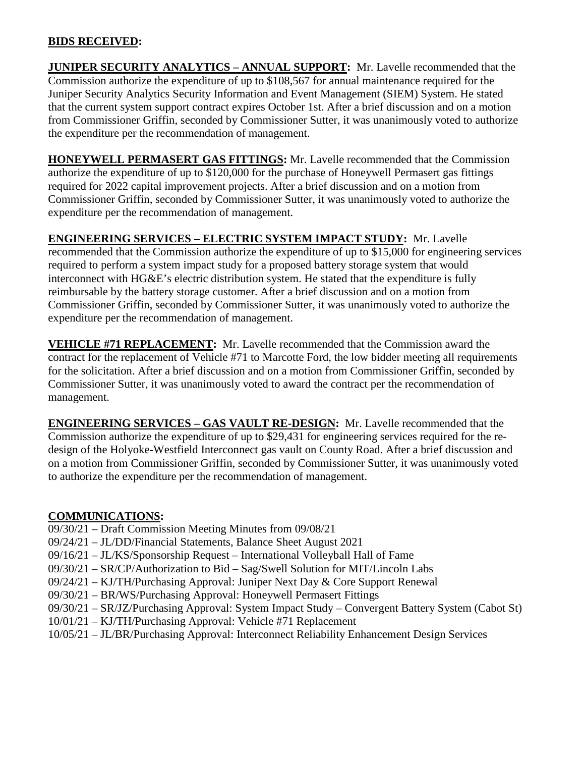### **BIDS RECEIVED:**

**JUNIPER SECURITY ANALYTICS – ANNUAL SUPPORT:** Mr. Lavelle recommended that the Commission authorize the expenditure of up to \$108,567 for annual maintenance required for the Juniper Security Analytics Security Information and Event Management (SIEM) System. He stated that the current system support contract expires October 1st. After a brief discussion and on a motion from Commissioner Griffin, seconded by Commissioner Sutter, it was unanimously voted to authorize the expenditure per the recommendation of management.

**HONEYWELL PERMASERT GAS FITTINGS:** Mr. Lavelle recommended that the Commission authorize the expenditure of up to \$120,000 for the purchase of Honeywell Permasert gas fittings required for 2022 capital improvement projects. After a brief discussion and on a motion from Commissioner Griffin, seconded by Commissioner Sutter, it was unanimously voted to authorize the expenditure per the recommendation of management.

## **ENGINEERING SERVICES – ELECTRIC SYSTEM IMPACT STUDY:** Mr. Lavelle

recommended that the Commission authorize the expenditure of up to \$15,000 for engineering services required to perform a system impact study for a proposed battery storage system that would interconnect with HG&E's electric distribution system. He stated that the expenditure is fully reimbursable by the battery storage customer. After a brief discussion and on a motion from Commissioner Griffin, seconded by Commissioner Sutter, it was unanimously voted to authorize the expenditure per the recommendation of management.

**VEHICLE #71 REPLACEMENT:** Mr. Lavelle recommended that the Commission award the contract for the replacement of Vehicle #71 to Marcotte Ford, the low bidder meeting all requirements for the solicitation. After a brief discussion and on a motion from Commissioner Griffin, seconded by Commissioner Sutter, it was unanimously voted to award the contract per the recommendation of management.

**ENGINEERING SERVICES – GAS VAULT RE-DESIGN:** Mr. Lavelle recommended that the Commission authorize the expenditure of up to \$29,431 for engineering services required for the redesign of the Holyoke-Westfield Interconnect gas vault on County Road. After a brief discussion and on a motion from Commissioner Griffin, seconded by Commissioner Sutter, it was unanimously voted to authorize the expenditure per the recommendation of management.

### **COMMUNICATIONS:**

- 09/30/21 Draft Commission Meeting Minutes from 09/08/21
- 09/24/21 JL/DD/Financial Statements, Balance Sheet August 2021
- 09/16/21 JL/KS/Sponsorship Request International Volleyball Hall of Fame
- 09/30/21 SR/CP/Authorization to Bid Sag/Swell Solution for MIT/Lincoln Labs
- 09/24/21 KJ/TH/Purchasing Approval: Juniper Next Day & Core Support Renewal
- 09/30/21 BR/WS/Purchasing Approval: Honeywell Permasert Fittings
- 09/30/21 SR/JZ/Purchasing Approval: System Impact Study Convergent Battery System (Cabot St)
- 10/01/21 KJ/TH/Purchasing Approval: Vehicle #71 Replacement
- 10/05/21 JL/BR/Purchasing Approval: Interconnect Reliability Enhancement Design Services